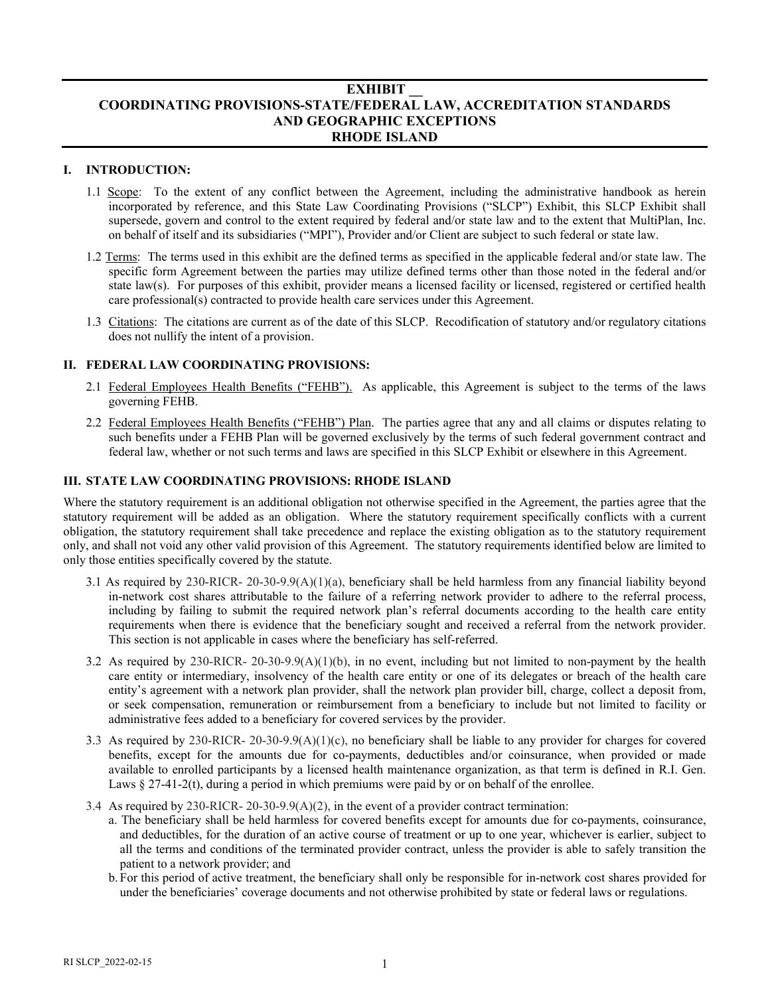# **EXHIBIT \_\_ COORDINATING PROVISIONS-STATE/FEDERAL LAW, ACCREDITATION STANDARDS AND GEOGRAPHIC EXCEPTIONS RHODE ISLAND**

## **I. INTRODUCTION:**

- 1.1 Scope: To the extent of any conflict between the Agreement, including the administrative handbook as herein incorporated by reference, and this State Law Coordinating Provisions ("SLCP") Exhibit, this SLCP Exhibit shall supersede, govern and control to the extent required by federal and/or state law and to the extent that MultiPlan, Inc. on behalf of itself and its subsidiaries ("MPI"), Provider and/or Client are subject to such federal or state law.
- 1.2 Terms: The terms used in this exhibit are the defined terms as specified in the applicable federal and/or state law. The specific form Agreement between the parties may utilize defined terms other than those noted in the federal and/or state law(s). For purposes of this exhibit, provider means a licensed facility or licensed, registered or certified health care professional(s) contracted to provide health care services under this Agreement.
- 1.3 Citations: The citations are current as of the date of this SLCP. Recodification of statutory and/or regulatory citations does not nullify the intent of a provision.

## **II. FEDERAL LAW COORDINATING PROVISIONS:**

- 2.1 Federal Employees Health Benefits ("FEHB"). As applicable, this Agreement is subject to the terms of the laws governing FEHB.
- 2.2 Federal Employees Health Benefits ("FEHB") Plan. The parties agree that any and all claims or disputes relating to such benefits under a FEHB Plan will be governed exclusively by the terms of such federal government contract and federal law, whether or not such terms and laws are specified in this SLCP Exhibit or elsewhere in this Agreement.

#### **III. STATE LAW COORDINATING PROVISIONS: RHODE ISLAND**

Where the statutory requirement is an additional obligation not otherwise specified in the Agreement, the parties agree that the statutory requirement will be added as an obligation. Where the statutory requirement specifically conflicts with a current obligation, the statutory requirement shall take precedence and replace the existing obligation as to the statutory requirement only, and shall not void any other valid provision of this Agreement. The statutory requirements identified below are limited to only those entities specifically covered by the statute.

- 3.1 As required by 230-RICR- 20-30-9.9(A)(1)(a), beneficiary shall be held harmless from any financial liability beyond in-network cost shares attributable to the failure of a referring network provider to adhere to the referral process, including by failing to submit the required network plan's referral documents according to the health care entity requirements when there is evidence that the beneficiary sought and received a referral from the network provider. This section is not applicable in cases where the beneficiary has self-referred.
- 3.2 As required by 230-RICR- 20-30-9.9(A)(1)(b), in no event, including but not limited to non-payment by the health care entity or intermediary, insolvency of the health care entity or one of its delegates or breach of the health care entity's agreement with a network plan provider, shall the network plan provider bill, charge, collect a deposit from, or seek compensation, remuneration or reimbursement from a beneficiary to include but not limited to facility or administrative fees added to a beneficiary for covered services by the provider.
- 3.3 As required by 230-RICR- 20-30-9.9(A)(1)(c), no beneficiary shall be liable to any provider for charges for covered benefits, except for the amounts due for co-payments, deductibles and/or coinsurance, when provided or made available to enrolled participants by a licensed health maintenance organization, as that term is defined in [R.I. Gen.](http://www.westlaw.com/Link/Document/FullText?findType=L&pubNum=1000038&cite=RISTS27-41-2&originatingDoc=N8821ECE05B6511E99298FC3347A63D65&refType=SP&originationContext=document&vr=3.0&rs=cblt1.0&transitionType=DocumentItem&contextData=(sc.Search)#co_pp_3a8700004efc7)  Laws  $\S 27-41-2(t)$ , during a period in which premiums were paid by or on behalf of the enrollee.
- 3.4 As required by 230-RICR- 20-30-9.9(A)(2), in the event of a provider contract termination:
	- a. The beneficiary shall be held harmless for covered benefits except for amounts due for co-payments, coinsurance, and deductibles, for the duration of an active course of treatment or up to one year, whichever is earlier, subject to all the terms and conditions of the terminated provider contract, unless the provider is able to safely transition the patient to a network provider; and
		- b. For this period of active treatment, the beneficiary shall only be responsible for in-network cost shares provided for under the beneficiaries' coverage documents and not otherwise prohibited by state or federal laws or regulations.